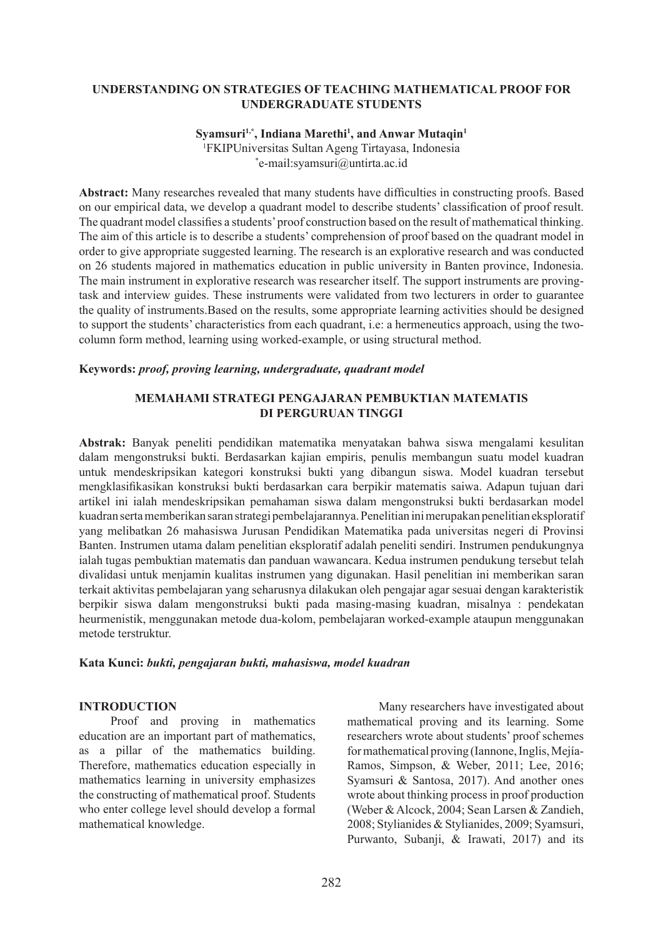### **Understanding on Strategies of Teaching Mathematical Proof for Undergraduate Students**

## **Syamsuri1,\*, Indiana Marethi1 , and Anwar Mutaqin1**

1 FKIPUniversitas Sultan Ageng Tirtayasa, Indonesia \* e-mail:syamsuri@untirta.ac.id

**Abstract:** Many researches revealed that many students have difficulties in constructing proofs. Based on our empirical data, we develop a quadrant model to describe students' classification of proof result. The quadrant model classifies a students' proof construction based on the result of mathematical thinking. The aim of this article is to describe a students' comprehension of proof based on the quadrant model in order to give appropriate suggested learning. The research is an explorative research and was conducted on 26 students majored in mathematics education in public university in Banten province, Indonesia. The main instrument in explorative research was researcher itself. The support instruments are provingtask and interview guides. These instruments were validated from two lecturers in order to guarantee the quality of instruments.Based on the results, some appropriate learning activities should be designed to support the students' characteristics from each quadrant, i.e: a hermeneutics approach, using the twocolumn form method, learning using worked-example, or using structural method.

### **Keywords:** *proof, proving learning, undergraduate, quadrant model*

### **MEMAHAMI STRATEGI PENGAJARAN PEMBUKTIAN MATEMATIS DI PERGURUAN TINGGI**

**Abstrak:** Banyak peneliti pendidikan matematika menyatakan bahwa siswa mengalami kesulitan dalam mengonstruksi bukti. Berdasarkan kajian empiris, penulis membangun suatu model kuadran untuk mendeskripsikan kategori konstruksi bukti yang dibangun siswa. Model kuadran tersebut mengklasifikasikan konstruksi bukti berdasarkan cara berpikir matematis saiwa. Adapun tujuan dari artikel ini ialah mendeskripsikan pemahaman siswa dalam mengonstruksi bukti berdasarkan model kuadran serta memberikan saran strategi pembelajarannya. Penelitian ini merupakan penelitian eksploratif yang melibatkan 26 mahasiswa Jurusan Pendidikan Matematika pada universitas negeri di Provinsi Banten. Instrumen utama dalam penelitian eksploratif adalah peneliti sendiri. Instrumen pendukungnya ialah tugas pembuktian matematis dan panduan wawancara. Kedua instrumen pendukung tersebut telah divalidasi untuk menjamin kualitas instrumen yang digunakan. Hasil penelitian ini memberikan saran terkait aktivitas pembelajaran yang seharusnya dilakukan oleh pengajar agar sesuai dengan karakteristik berpikir siswa dalam mengonstruksi bukti pada masing-masing kuadran, misalnya : pendekatan heurmenistik, menggunakan metode dua-kolom, pembelajaran worked-example ataupun menggunakan metode terstruktur.

### **Kata Kunci:** *bukti, pengajaran bukti, mahasiswa, model kuadran*

#### **INTRODUCTION**

Proof and proving in mathematics education are an important part of mathematics, as a pillar of the mathematics building. Therefore, mathematics education especially in mathematics learning in university emphasizes the constructing of mathematical proof. Students who enter college level should develop a formal mathematical knowledge.

Many researchers have investigated about mathematical proving and its learning. Some researchers wrote about students' proof schemes for mathematical proving (Iannone, Inglis, Mejía-Ramos, Simpson, & Weber, 2011; Lee, 2016; Syamsuri & Santosa, 2017). And another ones wrote about thinking process in proof production (Weber & Alcock, 2004; Sean Larsen & Zandieh, 2008; Stylianides & Stylianides, 2009; Syamsuri, Purwanto, Subanji, & Irawati, 2017) and its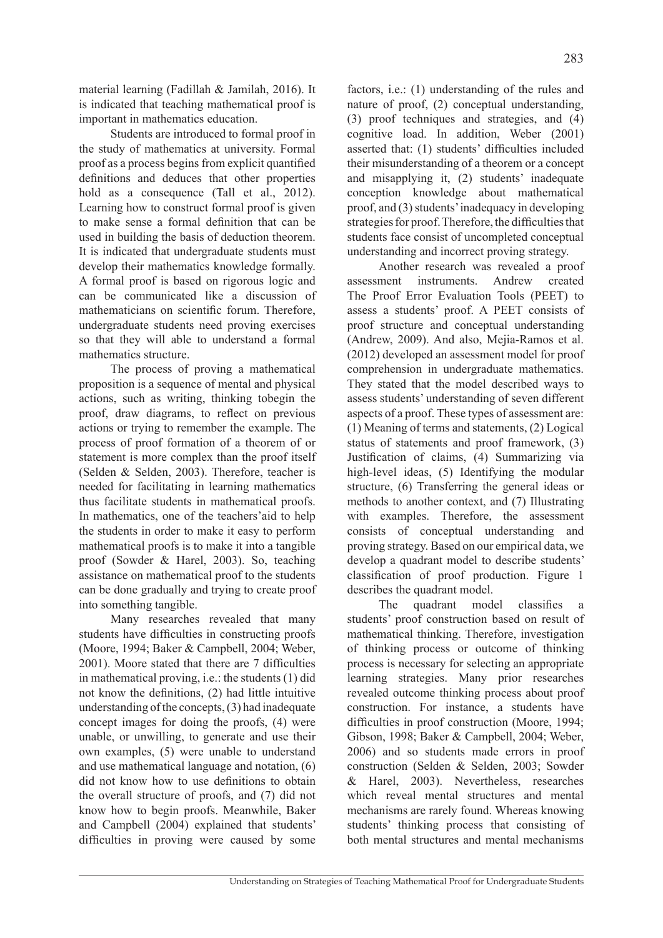material learning (Fadillah & Jamilah, 2016). It is indicated that teaching mathematical proof is important in mathematics education.

Students are introduced to formal proof in the study of mathematics at university. Formal proof as a process begins from explicit quantified definitions and deduces that other properties hold as a consequence (Tall et al., 2012). Learning how to construct formal proof is given to make sense a formal definition that can be used in building the basis of deduction theorem. It is indicated that undergraduate students must develop their mathematics knowledge formally. A formal proof is based on rigorous logic and can be communicated like a discussion of mathematicians on scientific forum. Therefore, undergraduate students need proving exercises so that they will able to understand a formal mathematics structure.

The process of proving a mathematical proposition is a sequence of mental and physical actions, such as writing, thinking tobegin the proof, draw diagrams, to reflect on previous actions or trying to remember the example. The process of proof formation of a theorem of or statement is more complex than the proof itself (Selden & Selden, 2003). Therefore, teacher is needed for facilitating in learning mathematics thus facilitate students in mathematical proofs. In mathematics, one of the teachers'aid to help the students in order to make it easy to perform mathematical proofs is to make it into a tangible proof (Sowder & Harel, 2003). So, teaching assistance on mathematical proof to the students can be done gradually and trying to create proof into something tangible.

Many researches revealed that many students have difficulties in constructing proofs (Moore, 1994; Baker & Campbell, 2004; Weber, 2001). Moore stated that there are 7 difficulties in mathematical proving, i.e.: the students (1) did not know the definitions, (2) had little intuitive understanding of the concepts, (3) had inadequate concept images for doing the proofs, (4) were unable, or unwilling, to generate and use their own examples, (5) were unable to understand and use mathematical language and notation, (6) did not know how to use definitions to obtain the overall structure of proofs, and (7) did not know how to begin proofs. Meanwhile, Baker and Campbell (2004) explained that students' difficulties in proving were caused by some

factors, i.e.: (1) understanding of the rules and nature of proof, (2) conceptual understanding, (3) proof techniques and strategies, and (4) cognitive load. In addition, Weber (2001) asserted that: (1) students' difficulties included their misunderstanding of a theorem or a concept and misapplying it, (2) students' inadequate conception knowledge about mathematical proof, and (3) students' inadequacy in developing strategies for proof. Therefore, the difficulties that students face consist of uncompleted conceptual understanding and incorrect proving strategy.

Another research was revealed a proof assessment instruments. Andrew created The Proof Error Evaluation Tools (PEET) to assess a students' proof. A PEET consists of proof structure and conceptual understanding (Andrew, 2009). And also, Mejia-Ramos et al. (2012) developed an assessment model for proof comprehension in undergraduate mathematics. They stated that the model described ways to assess students' understanding of seven different aspects of a proof. These types of assessment are: (1) Meaning of terms and statements, (2) Logical status of statements and proof framework, (3) Justification of claims, (4) Summarizing via high-level ideas, (5) Identifying the modular structure, (6) Transferring the general ideas or methods to another context, and (7) Illustrating with examples. Therefore, the assessment consists of conceptual understanding and proving strategy. Based on our empirical data, we develop a quadrant model to describe students' classification of proof production. Figure 1 describes the quadrant model.

The quadrant model classifies a students' proof construction based on result of mathematical thinking. Therefore, investigation of thinking process or outcome of thinking process is necessary for selecting an appropriate learning strategies. Many prior researches revealed outcome thinking process about proof construction. For instance, a students have difficulties in proof construction (Moore, 1994; Gibson, 1998; Baker & Campbell, 2004; Weber, 2006) and so students made errors in proof construction (Selden & Selden, 2003; Sowder & Harel, 2003). Nevertheless, researches which reveal mental structures and mental mechanisms are rarely found. Whereas knowing students' thinking process that consisting of both mental structures and mental mechanisms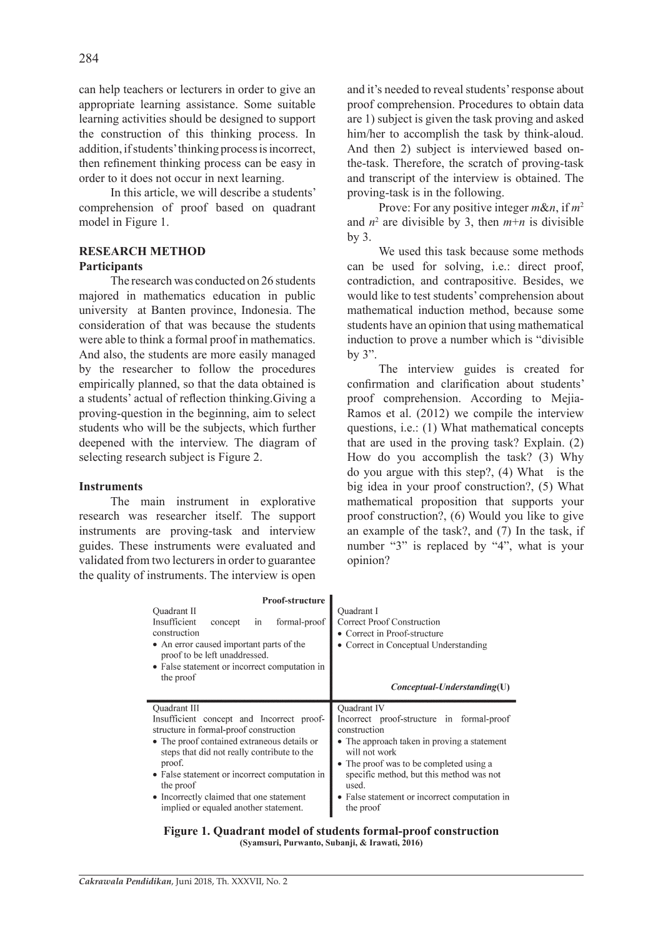can help teachers or lecturers in order to give an appropriate learning assistance. Some suitable learning activities should be designed to support the construction of this thinking process. In addition, if students' thinking process is incorrect, then refinement thinking process can be easy in order to it does not occur in next learning.

In this article, we will describe a students' comprehension of proof based on quadrant model in Figure 1.

## **RESEARCH METHOD**

### **Participants**

The research was conducted on 26 students majored in mathematics education in public university at Banten province, Indonesia. The consideration of that was because the students were able to think a formal proof in mathematics. And also, the students are more easily managed by the researcher to follow the procedures empirically planned, so that the data obtained is a students' actual of reflection thinking.Giving a proving-question in the beginning, aim to select students who will be the subjects, which further deepened with the interview. The diagram of selecting research subject is Figure 2.

#### **Instruments**

The main instrument in explorative research was researcher itself. The support instruments are proving-task and interview guides. These instruments were evaluated and validated from two lecturers in order to guarantee the quality of instruments. The interview is open and it's needed to reveal students' response about proof comprehension. Procedures to obtain data are 1) subject is given the task proving and asked him/her to accomplish the task by think-aloud. And then 2) subject is interviewed based onthe-task. Therefore, the scratch of proving-task and transcript of the interview is obtained. The proving-task is in the following.

Prove: For any positive integer *m*&*n*, if *m*<sup>2</sup> and  $n^2$  are divisible by 3, then  $m+n$  is divisible by 3.

We used this task because some methods can be used for solving, i.e.: direct proof, contradiction, and contrapositive. Besides, we would like to test students' comprehension about mathematical induction method, because some students have an opinion that using mathematical induction to prove a number which is "divisible by 3".

The interview guides is created for confirmation and clarification about students' proof comprehension. According to Mejia-Ramos et al. (2012) we compile the interview questions, i.e.: (1) What mathematical concepts that are used in the proving task? Explain. (2) How do you accomplish the task? (3) Why do you argue with this step?, (4) What is the big idea in your proof construction?, (5) What mathematical proposition that supports your proof construction?, (6) Would you like to give an example of the task?, and (7) In the task, if number "3" is replaced by "4", what is your opinion?

| <b>Proof-structure</b><br>Quadrant II<br>Insufficient<br>formal-proof<br>concept<br>in<br>construction<br>• An error caused important parts of the<br>proof to be left unaddressed.<br>• False statement or incorrect computation in<br>the proof                                                                                                              | <b>Ouadrant I</b><br>Correct Proof Construction<br>• Correct in Proof-structure<br>• Correct in Conceptual Understanding                                                                                                                                                                               |  |
|----------------------------------------------------------------------------------------------------------------------------------------------------------------------------------------------------------------------------------------------------------------------------------------------------------------------------------------------------------------|--------------------------------------------------------------------------------------------------------------------------------------------------------------------------------------------------------------------------------------------------------------------------------------------------------|--|
|                                                                                                                                                                                                                                                                                                                                                                | $Conceptual-Understanding(U)$                                                                                                                                                                                                                                                                          |  |
| Quadrant III<br>Insufficient concept and Incorrect proof-<br>structure in formal-proof construction<br>• The proof contained extraneous details or<br>steps that did not really contribute to the<br>proof.<br>• False statement or incorrect computation in<br>the proof<br>• Incorrectly claimed that one statement<br>implied or equaled another statement. | Quadrant IV<br>Incorrect proof-structure in formal-proof<br>construction<br>• The approach taken in proving a statement<br>will not work<br>• The proof was to be completed using a<br>specific method, but this method was not<br>used.<br>• False statement or incorrect computation in<br>the proof |  |

**Figure 1. Quadrant model of students formal-proof construction (Syamsuri, Purwanto, Subanji, & Irawati, 2016)**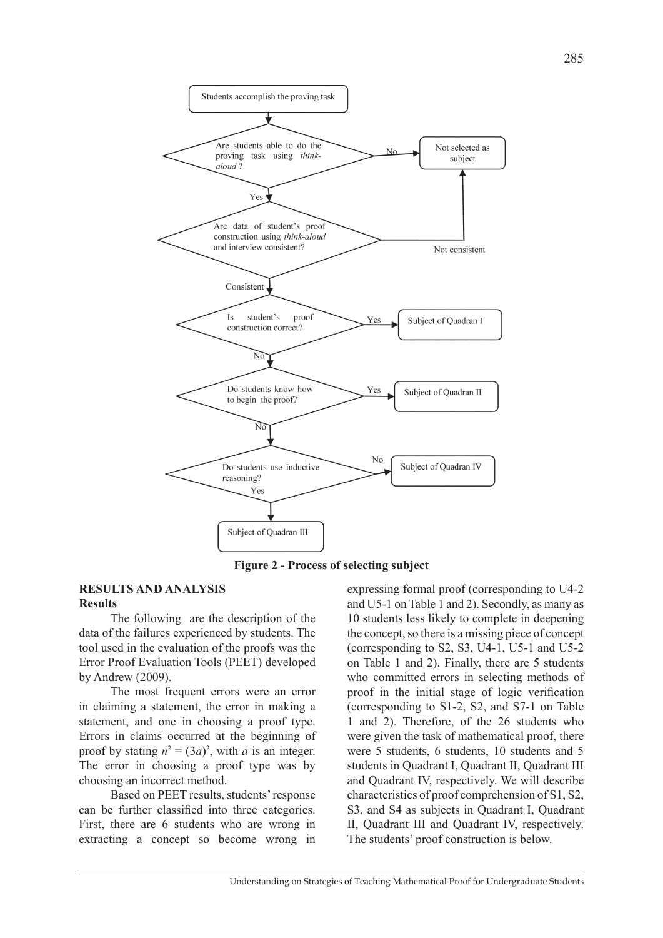

**Figure 2 - Process of selecting subject**

#### **RESULTS AND ANALYSIS Results**

The following are the description of the data of the failures experienced by students. The tool used in the evaluation of the proofs was the Error Proof Evaluation Tools (PEET) developed by Andrew (2009).

The most frequent errors were an error in claiming a statement, the error in making a statement, and one in choosing a proof type. Errors in claims occurred at the beginning of proof by stating  $n^2 = (3a)^2$ , with *a* is an integer. The error in choosing a proof type was by choosing an incorrect method.

Based on PEET results, students' response can be further classified into three categories. First, there are 6 students who are wrong in extracting a concept so become wrong in

expressing formal proof (corresponding to U4-2 and U5-1 on Table 1 and 2). Secondly, as many as 10 students less likely to complete in deepening the concept, so there is a missing piece of concept (corresponding to S2, S3, U4-1, U5-1 and U5-2 on Table 1 and 2). Finally, there are 5 students who committed errors in selecting methods of proof in the initial stage of logic verification (corresponding to S1-2, S2, and S7-1 on Table 1 and 2). Therefore, of the 26 students who were given the task of mathematical proof, there were 5 students, 6 students, 10 students and 5 students in Quadrant I, Quadrant II, Quadrant III and Quadrant IV, respectively. We will describe characteristics of proof comprehension of S1, S2, S3, and S4 as subjects in Quadrant I, Quadrant II, Quadrant III and Quadrant IV, respectively. The students' proof construction is below.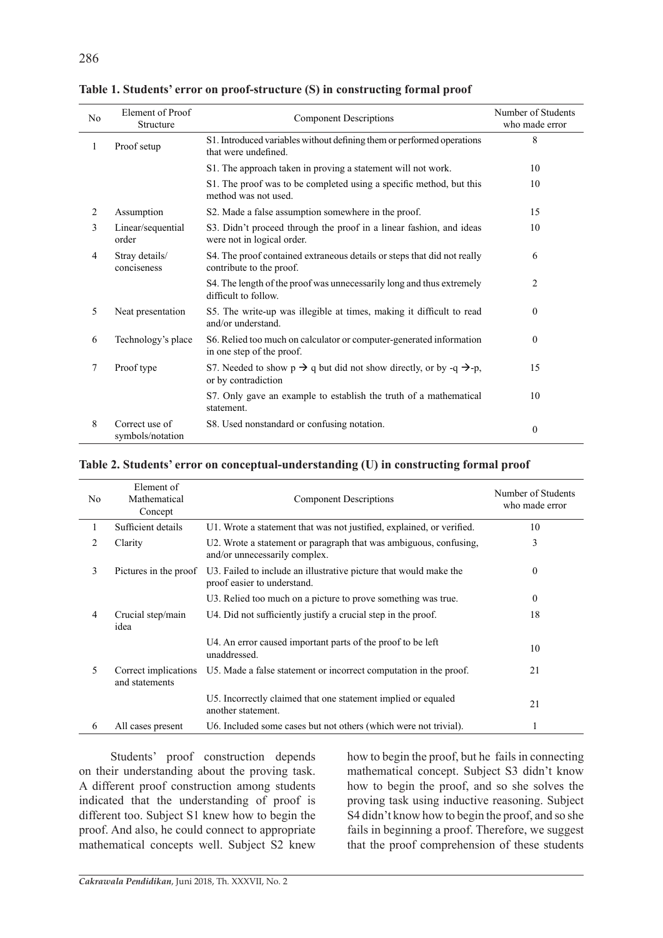| No             | Element of Proof<br>Structure      | <b>Component Descriptions</b>                                                                                     | Number of Students<br>who made error |
|----------------|------------------------------------|-------------------------------------------------------------------------------------------------------------------|--------------------------------------|
| 1              | Proof setup                        | S1. Introduced variables without defining them or performed operations<br>that were undefined.                    | 8                                    |
|                |                                    | S1. The approach taken in proving a statement will not work.                                                      | 10                                   |
|                |                                    | S1. The proof was to be completed using a specific method, but this<br>method was not used.                       | 10                                   |
| $\overline{2}$ | Assumption                         | S2. Made a false assumption somewhere in the proof.                                                               | 15                                   |
| 3              | Linear/sequential<br>order         | S3. Didn't proceed through the proof in a linear fashion, and ideas<br>were not in logical order.                 | 10                                   |
| 4              | Stray details/<br>conciseness      | S4. The proof contained extraneous details or steps that did not really<br>contribute to the proof.               | 6                                    |
|                |                                    | S4. The length of the proof was unnecessarily long and thus extremely<br>difficult to follow.                     | 2                                    |
| 5              | Neat presentation                  | S5. The write-up was illegible at times, making it difficult to read<br>and/or understand.                        | $\overline{0}$                       |
| 6              | Technology's place                 | S6. Relied too much on calculator or computer-generated information<br>in one step of the proof.                  | $\overline{0}$                       |
| 7              | Proof type                         | S7. Needed to show $p \rightarrow q$ but did not show directly, or by -q $\rightarrow$ -p,<br>or by contradiction | 15                                   |
|                |                                    | S7. Only gave an example to establish the truth of a mathematical<br>statement.                                   | 10                                   |
| 8              | Correct use of<br>symbols/notation | S8. Used nonstandard or confusing notation.                                                                       | $\theta$                             |

**Table 1. Students' error on proof-structure (S) in constructing formal proof**

### **Table 2. Students' error on conceptual-understanding (U) in constructing formal proof**

| N <sub>0</sub> | Element of<br>Mathematical<br>Concept  | <b>Component Descriptions</b>                                                                      | Number of Students<br>who made error |
|----------------|----------------------------------------|----------------------------------------------------------------------------------------------------|--------------------------------------|
| 1              | Sufficient details                     | U1. Wrote a statement that was not justified, explained, or verified.                              | 10                                   |
| 2              | Clarity                                | U2. Wrote a statement or paragraph that was ambiguous, confusing,<br>and/or unnecessarily complex. | 3                                    |
| 3              | Pictures in the proof                  | U3. Failed to include an illustrative picture that would make the<br>proof easier to understand.   | $\theta$                             |
|                |                                        | U3. Relied too much on a picture to prove something was true.                                      | $\theta$                             |
| $\overline{4}$ | Crucial step/main<br>idea              | U4. Did not sufficiently justify a crucial step in the proof.                                      | 18                                   |
|                |                                        | U4. An error caused important parts of the proof to be left<br>unaddressed.                        | 10                                   |
| 5              | Correct implications<br>and statements | U.S. Made a false statement or incorrect computation in the proof.                                 | 21                                   |
|                |                                        | U5. Incorrectly claimed that one statement implied or equaled<br>another statement.                | 21                                   |
| 6              | All cases present                      | U6. Included some cases but not others (which were not trivial).                                   | J.                                   |

Students' proof construction depends on their understanding about the proving task. A different proof construction among students indicated that the understanding of proof is different too. Subject S1 knew how to begin the proof. And also, he could connect to appropriate mathematical concepts well. Subject S2 knew

how to begin the proof, but he fails in connecting mathematical concept. Subject S3 didn't know how to begin the proof, and so she solves the proving task using inductive reasoning. Subject S4 didn't know how to begin the proof, and so she fails in beginning a proof. Therefore, we suggest that the proof comprehension of these students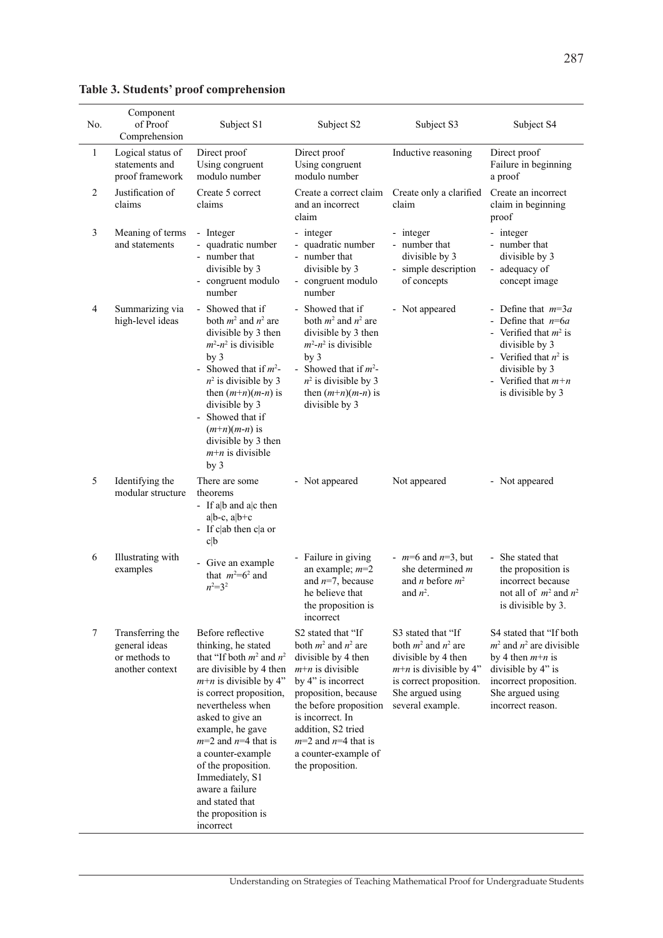| No.            | Component<br>of Proof<br>Comprehension                                | Subject S1                                                                                                                                                                                                                                                                                                                                                                                  | Subject S2                                                                                                                                                                                                                                                                           | Subject S3                                                                                                                                                           | Subject S4                                                                                                                                                                             |
|----------------|-----------------------------------------------------------------------|---------------------------------------------------------------------------------------------------------------------------------------------------------------------------------------------------------------------------------------------------------------------------------------------------------------------------------------------------------------------------------------------|--------------------------------------------------------------------------------------------------------------------------------------------------------------------------------------------------------------------------------------------------------------------------------------|----------------------------------------------------------------------------------------------------------------------------------------------------------------------|----------------------------------------------------------------------------------------------------------------------------------------------------------------------------------------|
| $\mathbf{1}$   | Logical status of<br>statements and<br>proof framework                | Direct proof<br>Using congruent<br>modulo number                                                                                                                                                                                                                                                                                                                                            | Direct proof<br>Using congruent<br>modulo number                                                                                                                                                                                                                                     | Inductive reasoning                                                                                                                                                  | Direct proof<br>Failure in beginning<br>a proof                                                                                                                                        |
| $\overline{2}$ | Justification of<br>claims                                            | Create 5 correct<br>claims                                                                                                                                                                                                                                                                                                                                                                  | Create a correct claim<br>and an incorrect<br>claim                                                                                                                                                                                                                                  | Create only a clarified<br>claim                                                                                                                                     | Create an incorrect<br>claim in beginning<br>proof                                                                                                                                     |
| 3              | Meaning of terms<br>and statements                                    | - Integer<br>- quadratic number<br>- number that<br>divisible by 3<br>- congruent modulo<br>number                                                                                                                                                                                                                                                                                          | - integer<br>- quadratic number<br>- number that<br>divisible by 3<br>- congruent modulo<br>number                                                                                                                                                                                   | - integer<br>- number that<br>divisible by 3<br>- simple description<br>of concepts                                                                                  | - integer<br>- number that<br>divisible by 3<br>- adequacy of<br>concept image                                                                                                         |
| $\overline{4}$ | Summarizing via<br>high-level ideas                                   | - Showed that if<br>both $m^2$ and $n^2$ are<br>divisible by 3 then<br>$m^2 - n^2$ is divisible<br>by <sub>3</sub><br>Showed that if $m^2$ -<br>$n^2$ is divisible by 3<br>then $(m+n)(m-n)$ is<br>divisible by 3<br>Showed that if<br>$(m+n)(m-n)$ is<br>divisible by 3 then<br>$m+n$ is divisible<br>by <sub>3</sub>                                                                      | - Showed that if<br>both $m^2$ and $n^2$ are<br>divisible by 3 then<br>$m^2 - n^2$ is divisible<br>by <sub>3</sub><br>- Showed that if $m^2$ -<br>$n^2$ is divisible by 3<br>then $(m+n)(m-n)$ is<br>divisible by 3                                                                  | - Not appeared                                                                                                                                                       | - Define that $m=3a$<br>- Define that $n=6a$<br>- Verified that $m^2$ is<br>divisible by 3<br>- Verified that $n^2$ is<br>divisible by 3<br>- Verified that $m+n$<br>is divisible by 3 |
| 5              | Identifying the<br>modular structure                                  | There are some<br>theorems<br>- If a b and a c then<br>$a b-c, a b+c$<br>- If $c ab$ then $c a$ or<br>c b                                                                                                                                                                                                                                                                                   | - Not appeared                                                                                                                                                                                                                                                                       | Not appeared                                                                                                                                                         | - Not appeared                                                                                                                                                                         |
| 6              | Illustrating with<br>examples                                         | - Give an example<br>that $m^2=6^2$ and<br>$n^2=3^2$                                                                                                                                                                                                                                                                                                                                        | - Failure in giving<br>an example; $m=2$<br>and $n=7$ , because<br>he believe that<br>the proposition is<br>incorrect                                                                                                                                                                | - $m=6$ and $n=3$ , but<br>she determined $m$<br>and <i>n</i> before $m2$<br>and $n^2$ .                                                                             | - She stated that<br>the proposition is<br>incorrect because<br>not all of $m^2$ and $n^2$<br>is divisible by 3.                                                                       |
| 7              | Transferring the<br>general ideas<br>or methods to<br>another context | Before reflective<br>thinking, he stated<br>that "If both $m^2$ and $n^2$<br>are divisible by 4 then<br>$m+n$ is divisible by 4"<br>is correct proposition,<br>nevertheless when<br>asked to give an<br>example, he gave<br>$m=2$ and $n=4$ that is<br>a counter-example<br>of the proposition.<br>Immediately, S1<br>aware a failure<br>and stated that<br>the proposition is<br>incorrect | S2 stated that "If<br>both $m^2$ and $n^2$ are<br>divisible by 4 then<br>$m+n$ is divisible<br>by 4" is incorrect<br>proposition, because<br>the before proposition<br>is incorrect. In<br>addition, S2 tried<br>$m=2$ and $n=4$ that is<br>a counter-example of<br>the proposition. | S3 stated that "If<br>both $m^2$ and $n^2$ are<br>divisible by 4 then<br>$m+n$ is divisible by 4"<br>is correct proposition.<br>She argued using<br>several example. | S4 stated that "If both<br>$m2$ and $n2$ are divisible<br>by 4 then $m+n$ is<br>divisible by 4" is<br>incorrect proposition.<br>She argued using<br>incorrect reason.                  |

# **Table 3. Students' proof comprehension**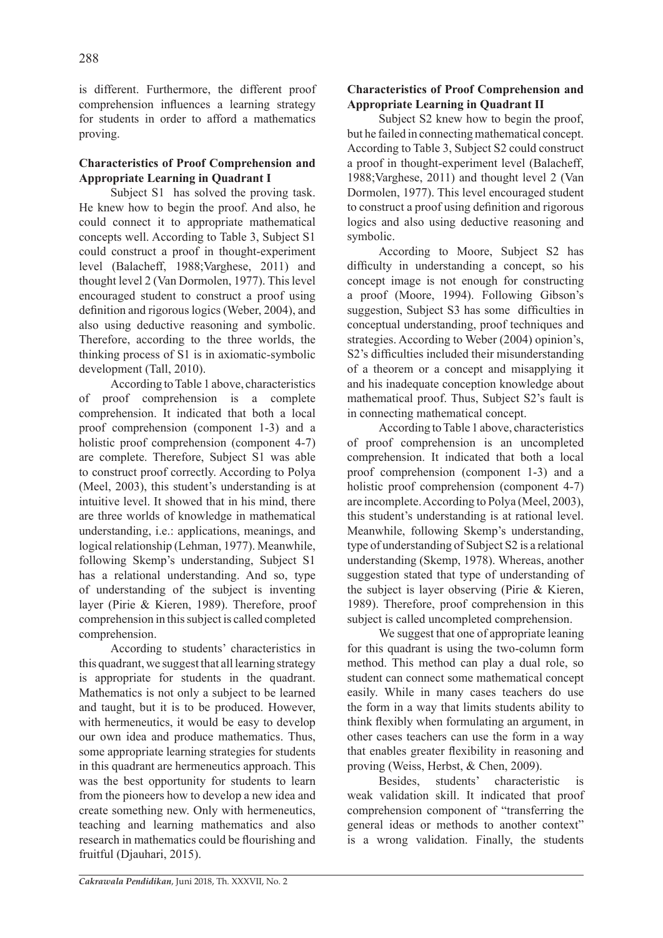is different. Furthermore, the different proof comprehension influences a learning strategy for students in order to afford a mathematics proving.

## **Characteristics of Proof Comprehension and Appropriate Learning in Quadrant I**

Subject S1 has solved the proving task. He knew how to begin the proof. And also, he could connect it to appropriate mathematical concepts well. According to Table 3, Subject S1 could construct a proof in thought-experiment level (Balacheff, 1988;Varghese, 2011) and thought level 2 (Van Dormolen, 1977). This level encouraged student to construct a proof using definition and rigorous logics (Weber, 2004), and also using deductive reasoning and symbolic. Therefore, according to the three worlds, the thinking process of S1 is in axiomatic-symbolic development (Tall, 2010).

According to Table 1 above, characteristics of proof comprehension is a complete comprehension. It indicated that both a local proof comprehension (component 1-3) and a holistic proof comprehension (component 4-7) are complete. Therefore, Subject S1 was able to construct proof correctly. According to Polya (Meel, 2003), this student's understanding is at intuitive level. It showed that in his mind, there are three worlds of knowledge in mathematical understanding, i.e.: applications, meanings, and logical relationship (Lehman, 1977). Meanwhile, following Skemp's understanding, Subject S1 has a relational understanding. And so, type of understanding of the subject is inventing layer (Pirie & Kieren, 1989). Therefore, proof comprehension in this subject is called completed comprehension.

According to students' characteristics in this quadrant, we suggest that all learning strategy is appropriate for students in the quadrant. Mathematics is not only a subject to be learned and taught, but it is to be produced. However, with hermeneutics, it would be easy to develop our own idea and produce mathematics. Thus, some appropriate learning strategies for students in this quadrant are hermeneutics approach. This was the best opportunity for students to learn from the pioneers how to develop a new idea and create something new. Only with hermeneutics, teaching and learning mathematics and also research in mathematics could be flourishing and fruitful (Djauhari, 2015).

## **Characteristics of Proof Comprehension and Appropriate Learning in Quadrant II**

Subject S2 knew how to begin the proof, but he failed in connecting mathematical concept. According to Table 3, Subject S2 could construct a proof in thought-experiment level (Balacheff, 1988;Varghese, 2011) and thought level 2 (Van Dormolen, 1977). This level encouraged student to construct a proof using definition and rigorous logics and also using deductive reasoning and symbolic.

According to Moore, Subject S2 has difficulty in understanding a concept, so his concept image is not enough for constructing a proof (Moore, 1994). Following Gibson's suggestion, Subject S3 has some difficulties in conceptual understanding, proof techniques and strategies. According to Weber (2004) opinion's, S2's difficulties included their misunderstanding of a theorem or a concept and misapplying it and his inadequate conception knowledge about mathematical proof. Thus, Subject S2's fault is in connecting mathematical concept.

According to Table 1 above, characteristics of proof comprehension is an uncompleted comprehension. It indicated that both a local proof comprehension (component 1-3) and a holistic proof comprehension (component 4-7) are incomplete. According to Polya (Meel, 2003), this student's understanding is at rational level. Meanwhile, following Skemp's understanding, type of understanding of Subject S2 is a relational understanding (Skemp, 1978). Whereas, another suggestion stated that type of understanding of the subject is layer observing (Pirie & Kieren, 1989). Therefore, proof comprehension in this subject is called uncompleted comprehension.

We suggest that one of appropriate leaning for this quadrant is using the two-column form method. This method can play a dual role, so student can connect some mathematical concept easily. While in many cases teachers do use the form in a way that limits students ability to think flexibly when formulating an argument, in other cases teachers can use the form in a way that enables greater flexibility in reasoning and proving (Weiss, Herbst, & Chen, 2009).

Besides, students' characteristic is weak validation skill. It indicated that proof comprehension component of "transferring the general ideas or methods to another context" is a wrong validation. Finally, the students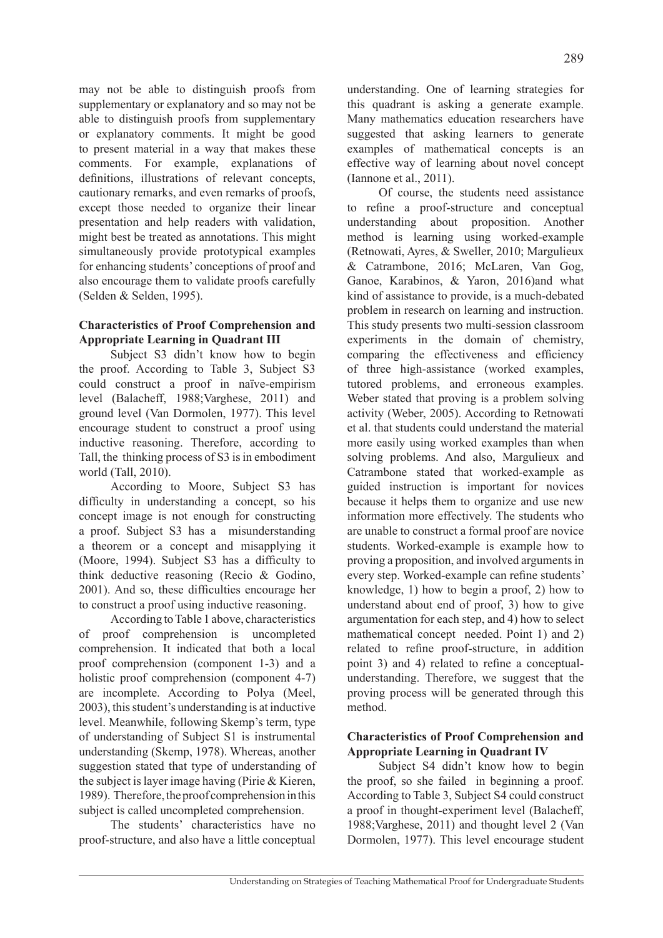may not be able to distinguish proofs from supplementary or explanatory and so may not be able to distinguish proofs from supplementary or explanatory comments. It might be good to present material in a way that makes these comments. For example, explanations of definitions, illustrations of relevant concepts, cautionary remarks, and even remarks of proofs, except those needed to organize their linear presentation and help readers with validation, might best be treated as annotations. This might simultaneously provide prototypical examples for enhancing students' conceptions of proof and also encourage them to validate proofs carefully (Selden & Selden, 1995).

## **Characteristics of Proof Comprehension and Appropriate Learning in Quadrant III**

Subject S3 didn't know how to begin the proof. According to Table 3, Subject S3 could construct a proof in naïve-empirism level (Balacheff, 1988;Varghese, 2011) and ground level (Van Dormolen, 1977). This level encourage student to construct a proof using inductive reasoning. Therefore, according to Tall, the thinking process of S3 is in embodiment world (Tall, 2010).

According to Moore, Subject S3 has difficulty in understanding a concept, so his concept image is not enough for constructing a proof. Subject S3 has a misunderstanding a theorem or a concept and misapplying it (Moore, 1994). Subject S3 has a difficulty to think deductive reasoning (Recio & Godino, 2001). And so, these difficulties encourage her to construct a proof using inductive reasoning.

According to Table 1 above, characteristics of proof comprehension is uncompleted comprehension. It indicated that both a local proof comprehension (component 1-3) and a holistic proof comprehension (component 4-7) are incomplete. According to Polya (Meel, 2003), this student's understanding is at inductive level. Meanwhile, following Skemp's term, type of understanding of Subject S1 is instrumental understanding (Skemp, 1978). Whereas, another suggestion stated that type of understanding of the subject is layer image having (Pirie & Kieren, 1989). Therefore, the proof comprehension in this subject is called uncompleted comprehension.

The students' characteristics have no proof-structure, and also have a little conceptual

understanding. One of learning strategies for this quadrant is asking a generate example. Many mathematics education researchers have suggested that asking learners to generate examples of mathematical concepts is an effective way of learning about novel concept (Iannone et al., 2011).

Of course, the students need assistance to refine a proof-structure and conceptual understanding about proposition. Another method is learning using worked-example (Retnowati, Ayres, & Sweller, 2010; Margulieux & Catrambone, 2016; McLaren, Van Gog, Ganoe, Karabinos, & Yaron, 2016)and what kind of assistance to provide, is a much-debated problem in research on learning and instruction. This study presents two multi-session classroom experiments in the domain of chemistry, comparing the effectiveness and efficiency of three high-assistance (worked examples, tutored problems, and erroneous examples. Weber stated that proving is a problem solving activity (Weber, 2005). According to Retnowati et al. that students could understand the material more easily using worked examples than when solving problems. And also, Margulieux and Catrambone stated that worked-example as guided instruction is important for novices because it helps them to organize and use new information more effectively. The students who are unable to construct a formal proof are novice students. Worked-example is example how to proving a proposition, and involved arguments in every step. Worked-example can refine students' knowledge, 1) how to begin a proof, 2) how to understand about end of proof, 3) how to give argumentation for each step, and 4) how to select mathematical concept needed. Point 1) and 2) related to refine proof-structure, in addition point 3) and 4) related to refine a conceptualunderstanding. Therefore, we suggest that the proving process will be generated through this method.

## **Characteristics of Proof Comprehension and Appropriate Learning in Quadrant IV**

Subject S4 didn't know how to begin the proof, so she failed in beginning a proof. According to Table 3, Subject S4 could construct a proof in thought-experiment level (Balacheff, 1988;Varghese, 2011) and thought level 2 (Van Dormolen, 1977). This level encourage student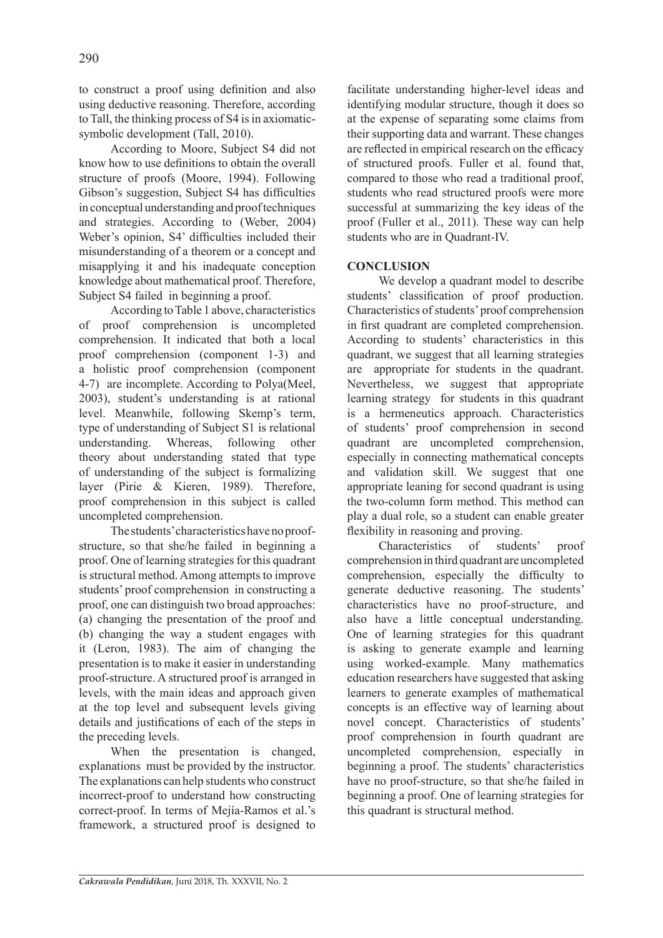to construct a proof using definition and also using deductive reasoning. Therefore, according to Tall, the thinking process of S4 is in axiomaticsymbolic development (Tall, 2010).

According to Moore, Subject S4 did not know how to use definitions to obtain the overall structure of proofs (Moore, 1994). Following Gibson's suggestion, Subject S4 has difficulties in conceptual understanding and proof techniques and strategies. According to (Weber, 2004) Weber's opinion, S4' difficulties included their misunderstanding of a theorem or a concept and misapplying it and his inadequate conception knowledge about mathematical proof. Therefore, Subject S4 failed in beginning a proof.

According to Table 1 above, characteristics of proof comprehension is uncompleted comprehension. It indicated that both a local proof comprehension (component 1-3) and a holistic proof comprehension (component 4-7) are incomplete. According to Polya(Meel, 2003), student's understanding is at rational level. Meanwhile, following Skemp's term, type of understanding of Subject S1 is relational understanding. Whereas, following other theory about understanding stated that type of understanding of the subject is formalizing layer (Pirie & Kieren, 1989). Therefore, proof comprehension in this subject is called uncompleted comprehension.

The students' characteristics have no proofstructure, so that she/he failed in beginning a proof. One of learning strategies for this quadrant is structural method. Among attempts to improve students' proof comprehension in constructing a proof, one can distinguish two broad approaches: (a) changing the presentation of the proof and (b) changing the way a student engages with it (Leron, 1983). The aim of changing the presentation is to make it easier in understanding proof-structure. A structured proof is arranged in levels, with the main ideas and approach given at the top level and subsequent levels giving details and justifications of each of the steps in the preceding levels.

When the presentation is changed, explanations must be provided by the instructor. The explanations can help students who construct incorrect-proof to understand how constructing correct-proof. In terms of Mejía-Ramos et al.'s framework, a structured proof is designed to facilitate understanding higher-level ideas and identifying modular structure, though it does so at the expense of separating some claims from their supporting data and warrant. These changes are reflected in empirical research on the efficacy of structured proofs. Fuller et al. found that, compared to those who read a traditional proof, students who read structured proofs were more successful at summarizing the key ideas of the proof (Fuller et al., 2011). These way can help students who are in Quadrant-IV.

## **CONCLUSION**

We develop a quadrant model to describe students' classification of proof production. Characteristics of students' proof comprehension in first quadrant are completed comprehension. According to students' characteristics in this quadrant, we suggest that all learning strategies are appropriate for students in the quadrant. Nevertheless, we suggest that appropriate learning strategy for students in this quadrant is a hermeneutics approach. Characteristics of students' proof comprehension in second quadrant are uncompleted comprehension, especially in connecting mathematical concepts and validation skill. We suggest that one appropriate leaning for second quadrant is using the two-column form method. This method can play a dual role, so a student can enable greater flexibility in reasoning and proving.

Characteristics of students' proof comprehension in third quadrant are uncompleted comprehension, especially the difficulty to generate deductive reasoning. The students' characteristics have no proof-structure, and also have a little conceptual understanding. One of learning strategies for this quadrant is asking to generate example and learning using worked-example. Many mathematics education researchers have suggested that asking learners to generate examples of mathematical concepts is an effective way of learning about novel concept. Characteristics of students' proof comprehension in fourth quadrant are uncompleted comprehension, especially in beginning a proof. The students' characteristics have no proof-structure, so that she/he failed in beginning a proof. One of learning strategies for this quadrant is structural method.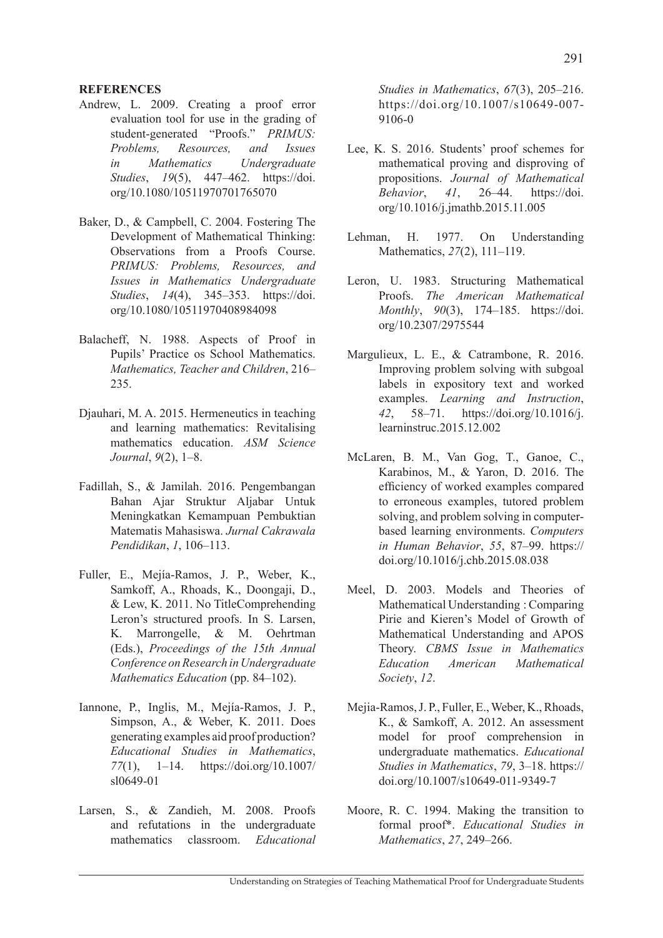### **REFERENCES**

- Andrew, L. 2009. Creating a proof error evaluation tool for use in the grading of student-generated "Proofs." *PRIMUS: Problems, Resources, and Issues in Mathematics Undergraduate Studies*, *19*(5), 447–462. https://doi. org/10.1080/10511970701765070
- Baker, D., & Campbell, C. 2004. Fostering The Development of Mathematical Thinking: Observations from a Proofs Course. *PRIMUS: Problems, Resources, and Issues in Mathematics Undergraduate Studies*, *14*(4), 345–353. https://doi. org/10.1080/10511970408984098
- Balacheff, N. 1988. Aspects of Proof in Pupils' Practice os School Mathematics. *Mathematics, Teacher and Children*, 216– 235.
- Djauhari, M. A. 2015. Hermeneutics in teaching and learning mathematics: Revitalising mathematics education. *ASM Science Journal*, *9*(2), 1–8.
- Fadillah, S., & Jamilah. 2016. Pengembangan Bahan Ajar Struktur Aljabar Untuk Meningkatkan Kemampuan Pembuktian Matematis Mahasiswa. *Jurnal Cakrawala Pendidikan*, *1*, 106–113.
- Fuller, E., Mejía-Ramos, J. P., Weber, K., Samkoff, A., Rhoads, K., Doongaji, D., & Lew, K. 2011. No TitleComprehending Leron's structured proofs. In S. Larsen, K. Marrongelle, & M. Oehrtman (Eds.), *Proceedings of the 15th Annual Conference on Research in Undergraduate Mathematics Education* (pp. 84–102).
- Iannone, P., Inglis, M., Mejía-Ramos, J. P., Simpson, A., & Weber, K. 2011. Does generating examples aid proof production? *Educational Studies in Mathematics*, *77*(1), 1–14. https://doi.org/10.1007/ sl0649-01
- Larsen, S., & Zandieh, M. 2008. Proofs and refutations in the undergraduate mathematics classroom. *Educational*

*Studies in Mathematics*, *67*(3), 205–216. https://doi.org/10.1007/s10649-007- 9106-0

- Lee, K. S. 2016. Students' proof schemes for mathematical proving and disproving of propositions. *Journal of Mathematical Behavior*, *41*, 26–44. https://doi. org/10.1016/j.jmathb.2015.11.005
- Lehman, H. 1977. On Understanding Mathematics, *27*(2), 111–119.
- Leron, U. 1983. Structuring Mathematical Proofs. *The American Mathematical Monthly*, *90*(3), 174–185. https://doi. org/10.2307/2975544
- Margulieux, L. E., & Catrambone, R. 2016. Improving problem solving with subgoal labels in expository text and worked examples. *Learning and Instruction*, *42*, 58–71. https://doi.org/10.1016/j. learninstruc.2015.12.002
- McLaren, B. M., Van Gog, T., Ganoe, C., Karabinos, M., & Yaron, D. 2016. The efficiency of worked examples compared to erroneous examples, tutored problem solving, and problem solving in computerbased learning environments. *Computers in Human Behavior*, *55*, 87–99. https:// doi.org/10.1016/j.chb.2015.08.038
- Meel, D. 2003. Models and Theories of Mathematical Understanding : Comparing Pirie and Kieren's Model of Growth of Mathematical Understanding and APOS Theory. *CBMS Issue in Mathematics Education American Mathematical Society*, *12*.
- Mejia-Ramos, J. P., Fuller, E., Weber, K., Rhoads, K., & Samkoff, A. 2012. An assessment model for proof comprehension in undergraduate mathematics. *Educational Studies in Mathematics*, *79*, 3–18. https:// doi.org/10.1007/s10649-011-9349-7
- Moore, R. C. 1994. Making the transition to formal proof\*. *Educational Studies in Mathematics*, *27*, 249–266.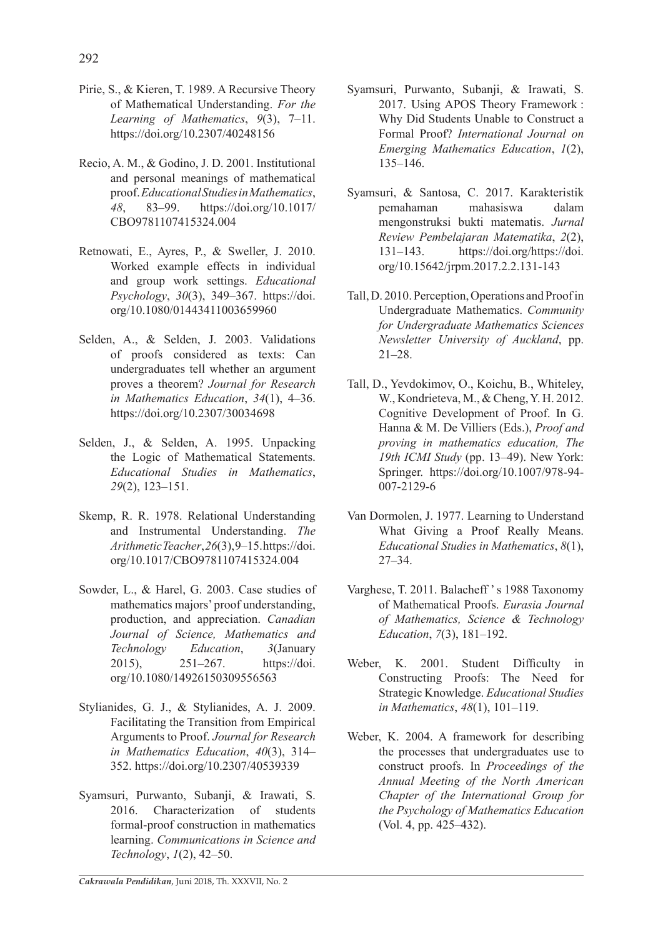- Pirie, S., & Kieren, T. 1989. A Recursive Theory of Mathematical Understanding. *For the Learning of Mathematics*, *9*(3), 7–11. https://doi.org/10.2307/40248156
- Recio, A. M., & Godino, J. D. 2001. Institutional and personal meanings of mathematical proof. *Educational Studies in Mathematics*, *48*, 83–99. https://doi.org/10.1017/ CBO9781107415324.004
- Retnowati, E., Ayres, P., & Sweller, J. 2010. Worked example effects in individual and group work settings. *Educational Psychology*, *30*(3), 349–367. https://doi. org/10.1080/01443411003659960
- Selden, A., & Selden, J. 2003. Validations of proofs considered as texts: Can undergraduates tell whether an argument proves a theorem? *Journal for Research in Mathematics Education*, *34*(1), 4–36. https://doi.org/10.2307/30034698
- Selden, J., & Selden, A. 1995. Unpacking the Logic of Mathematical Statements. *Educational Studies in Mathematics*, *29*(2), 123–151.
- Skemp, R. R. 1978. Relational Understanding and Instrumental Understanding. *The Arithmetic Teacher*, *26*(3), 9–15. https://doi. org/10.1017/CBO9781107415324.004
- Sowder, L., & Harel, G. 2003. Case studies of mathematics majors' proof understanding, production, and appreciation. *Canadian Journal of Science, Mathematics and Technology Education*, *3*(January 2015), 251–267. https://doi. org/10.1080/14926150309556563
- Stylianides, G. J., & Stylianides, A. J. 2009. Facilitating the Transition from Empirical Arguments to Proof. *Journal for Research in Mathematics Education*, *40*(3), 314– 352. https://doi.org/10.2307/40539339
- Syamsuri, Purwanto, Subanji, & Irawati, S. 2016. Characterization of students formal-proof construction in mathematics learning. *Communications in Science and Technology*, *1*(2), 42–50.
- Syamsuri, Purwanto, Subanji, & Irawati, S. 2017. Using APOS Theory Framework : Why Did Students Unable to Construct a Formal Proof? *International Journal on Emerging Mathematics Education*, *1*(2), 135–146.
- Syamsuri, & Santosa, C. 2017. Karakteristik pemahaman mahasiswa dalam mengonstruksi bukti matematis. *Jurnal Review Pembelajaran Matematika*, *2*(2), 131–143. https://doi.org/https://doi. org/10.15642/jrpm.2017.2.2.131-143
- Tall, D. 2010. Perception, Operations and Proof in Undergraduate Mathematics. *Community for Undergraduate Mathematics Sciences Newsletter University of Auckland*, pp. 21–28.
- Tall, D., Yevdokimov, O., Koichu, B., Whiteley, W., Kondrieteva, M., & Cheng, Y. H. 2012. Cognitive Development of Proof. In G. Hanna & M. De Villiers (Eds.), *Proof and proving in mathematics education, The 19th ICMI Study* (pp. 13–49). New York: Springer. https://doi.org/10.1007/978-94- 007-2129-6
- Van Dormolen, J. 1977. Learning to Understand What Giving a Proof Really Means. *Educational Studies in Mathematics*, *8*(1), 27–34.
- Varghese, T. 2011. Balacheff ' s 1988 Taxonomy of Mathematical Proofs. *Eurasia Journal of Mathematics, Science & Technology Education*, *7*(3), 181–192.
- Weber, K. 2001. Student Difficulty in Constructing Proofs: The Need for Strategic Knowledge. *Educational Studies in Mathematics*, *48*(1), 101–119.
- Weber, K. 2004. A framework for describing the processes that undergraduates use to construct proofs. In *Proceedings of the Annual Meeting of the North American Chapter of the International Group for the Psychology of Mathematics Education* (Vol. 4, pp. 425–432).